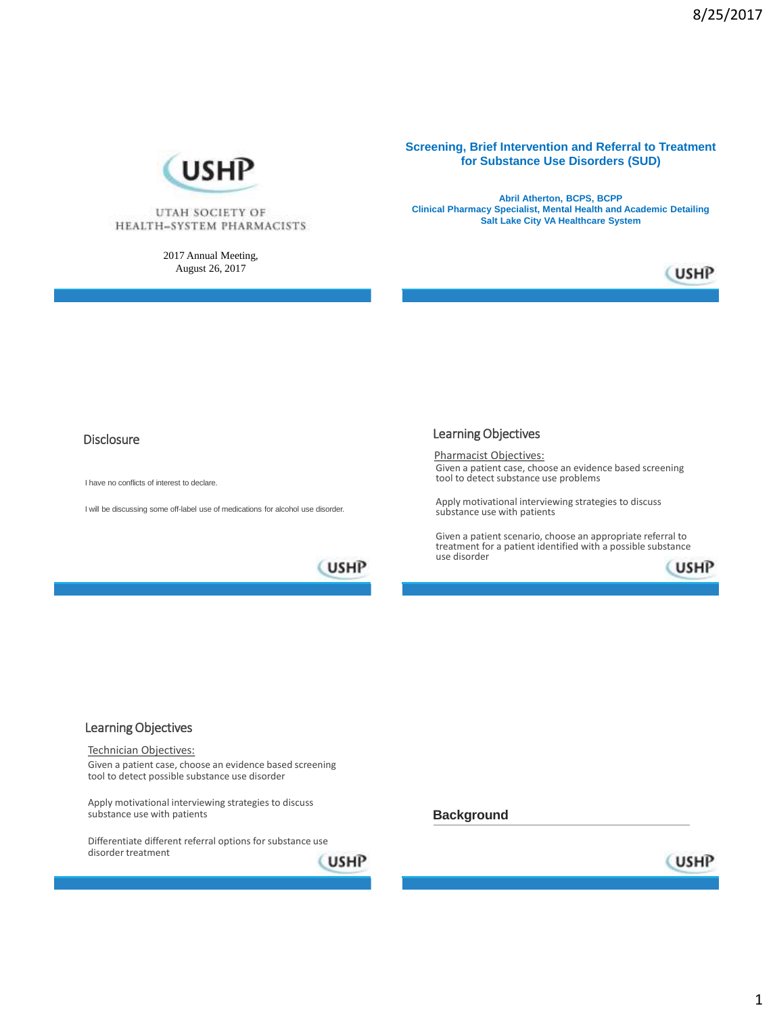

UTAH SOCIETY OF HEALTH-SYSTEM PHARMACISTS

> 2017 Annual Meeting, August 26, 2017

**Screening, Brief Intervention and Referral to Treatment for Substance Use Disorders (SUD)**

**Abril Atherton, BCPS, BCPP Clinical Pharmacy Specialist, Mental Health and Academic Detailing Salt Lake City VA Healthcare System**



### Disclosure

I have no conflicts of interest to declare.

I will be discussing some off-label use of medications for alcohol use disorder.

### Learning Objectives

Pharmacist Objectives: Given a patient case, choose an evidence based screening tool to detect substance use problems

Apply motivational interviewing strategies to discuss substance use with patients

Given a patient scenario, choose an appropriate referral to treatment for a patient identified with a possible substance use disorder **USHP** 





Technician Objectives:

Given a patient case, choose an evidence based screening tool to detect possible substance use disorder

Apply motivational interviewing strategies to discuss substance use with patients

Differentiate different referral options for substance use disorder treatment

**USHP** 



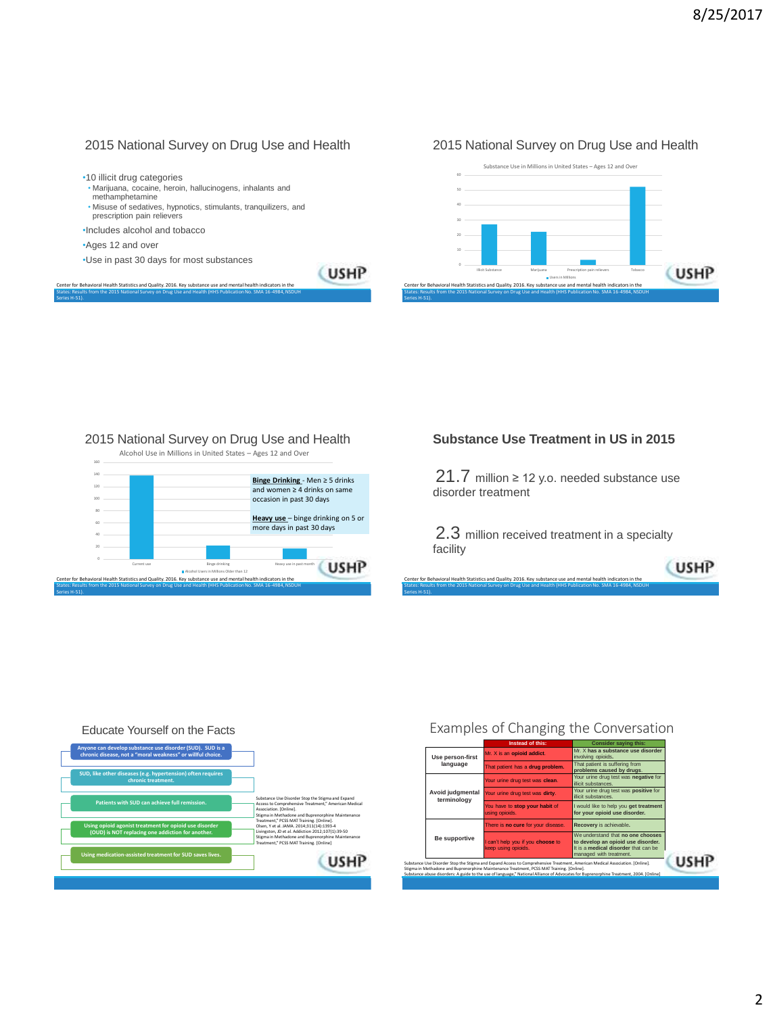### 2015 National Survey on Drug Use and Health

### 2015 National Survey on Drug Use and Health



Center for Behavioral Health Statistics and Quality. 2016. Key substance use and mental health indicators in the United States: Results from the 2015 National Survey on Drug Use and Health (HHS Publication No. SMA 16-4984, NSDUH

Series H-51).





### 2015 National Survey on Drug Use and Health



### **Substance Use Treatment in US in 2015**

21.7 million ≥ 12 y.o. needed substance use disorder treatment

2.3 million received treatment in a specialty facility

(USHP

Center for Behavioral Health Statistics and Quality. 2016. Key substance use and mental health indicators in the States: Results from the 2015 National Survey on Drug Use and Health (HHS Publication No. SMA 16-4984, NSDUH

Series H-51).

Educate Yourself on the Facts **Anyone can develop substance use disorder (SUD). SUD is a chronic disease, not a "moral weakness" or willful choice. SUD, like other diseases (e.g. hypertension) often requires chronic treatment.** Substance Use Disorder Stop the Stigma and Expand Access to Comprehensive Treatment," American Medical Association. [Online]. Stigma in Methadone and Buprenorphine Maintenance Treatment," PCSS MAT Training. [Online]. **Patients with SUD can achieve full remission. Using opioid agonist treatment for opioid use disorder**  Olsen, Y et al. JAMA. 2014;311(14):1393-4 Livingston, JD et al. Addiction 2012;107(1):39-50 Stigma in Methadone and Buprenorphine Maintenance Treatment," PCSS MAT Training. [Online] **(OUD) is NOT replacing one addiction for another. Using medication-assisted treatment for SUD saves lives.**  (USHP

## Examples of Changing the Conversation

|  |                                 | Instead of this:                                                                                                                                                                                                                                                                                                                                                    | <b>Consider saving this:</b>                                                                                                               |     |
|--|---------------------------------|---------------------------------------------------------------------------------------------------------------------------------------------------------------------------------------------------------------------------------------------------------------------------------------------------------------------------------------------------------------------|--------------------------------------------------------------------------------------------------------------------------------------------|-----|
|  | Use person-first<br>language    | Mr. X is an opioid addict.                                                                                                                                                                                                                                                                                                                                          | Mr. X has a substance use disorder<br>involving opioids.                                                                                   |     |
|  |                                 | That patient has a drug problem.                                                                                                                                                                                                                                                                                                                                    | That patient is suffering from<br>problems caused by drugs.                                                                                |     |
|  |                                 | Your urine drug test was clean.                                                                                                                                                                                                                                                                                                                                     | Your urine drug test was negative for<br>illicit substances.                                                                               |     |
|  | Avoid judgmental<br>terminology | Your urine drug test was dirty.                                                                                                                                                                                                                                                                                                                                     | Your urine drug test was positive for<br>illicit substances.                                                                               |     |
|  |                                 | You have to stop your habit of<br>using opioids.                                                                                                                                                                                                                                                                                                                    | I would like to help you get treatment<br>for your opioid use disorder.                                                                    |     |
|  |                                 | There is no cure for your disease.                                                                                                                                                                                                                                                                                                                                  | Recovery is achievable.                                                                                                                    |     |
|  | Be supportive                   | I can't help you if you choose to<br>keep using opioids.                                                                                                                                                                                                                                                                                                            | We understand that no one chooses<br>to develop an opioid use disorder.<br>It is a medical disorder that can be<br>managed with treatment. |     |
|  |                                 | Substance Use Disorder Stop the Stigma and Expand Access to Comprehensive Treatment, American Medical Association. [Online].<br>Stigma in Methadone and Buprenorphine Maintenance Treatment, PCSS MAT Training. [Online].<br>Substance abuse disorders: A guide to the use of language," National Alliance of Advocates for Buprenorphine Treatment, 2004. [Online] |                                                                                                                                            | USH |
|  |                                 |                                                                                                                                                                                                                                                                                                                                                                     |                                                                                                                                            |     |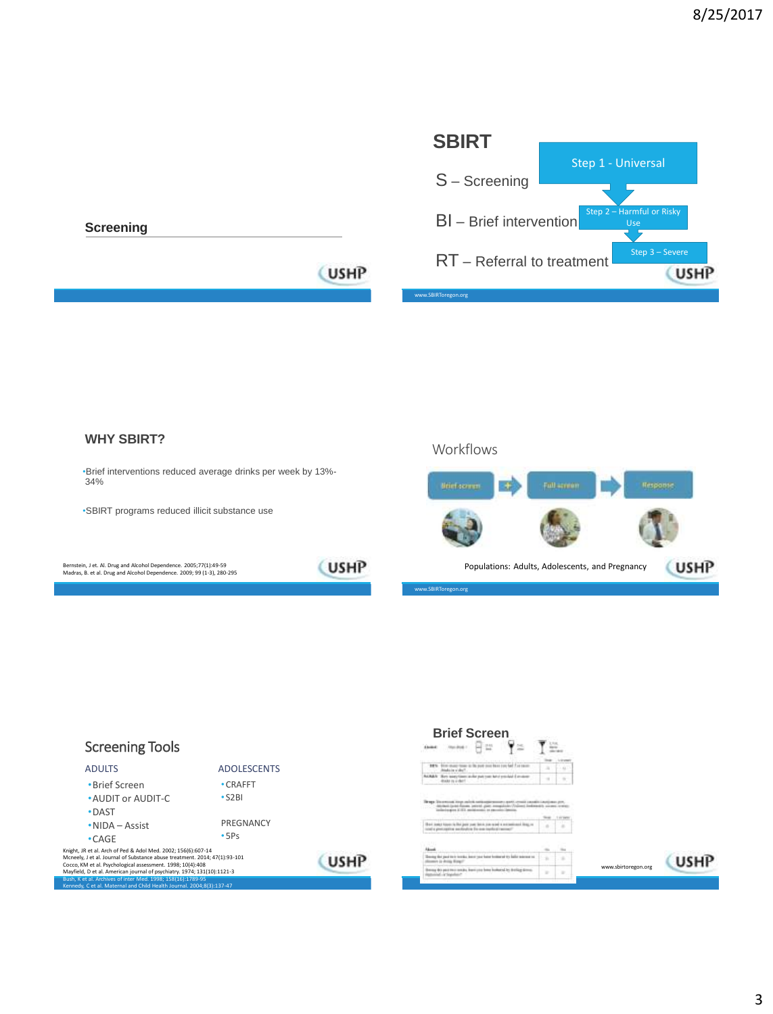

### **WHY SBIRT?**

•Brief interventions reduced average drinks per week by 13%- 34%

•SBIRT programs reduced illicit substance use

Bernstein, J et. Al. Drug and Alcohol Dependence. 2005;77(1):49-59 Madras, B. et al. Drug and Alcohol Dependence. 2009; 99 (1-3), 280-295

**USHP** 



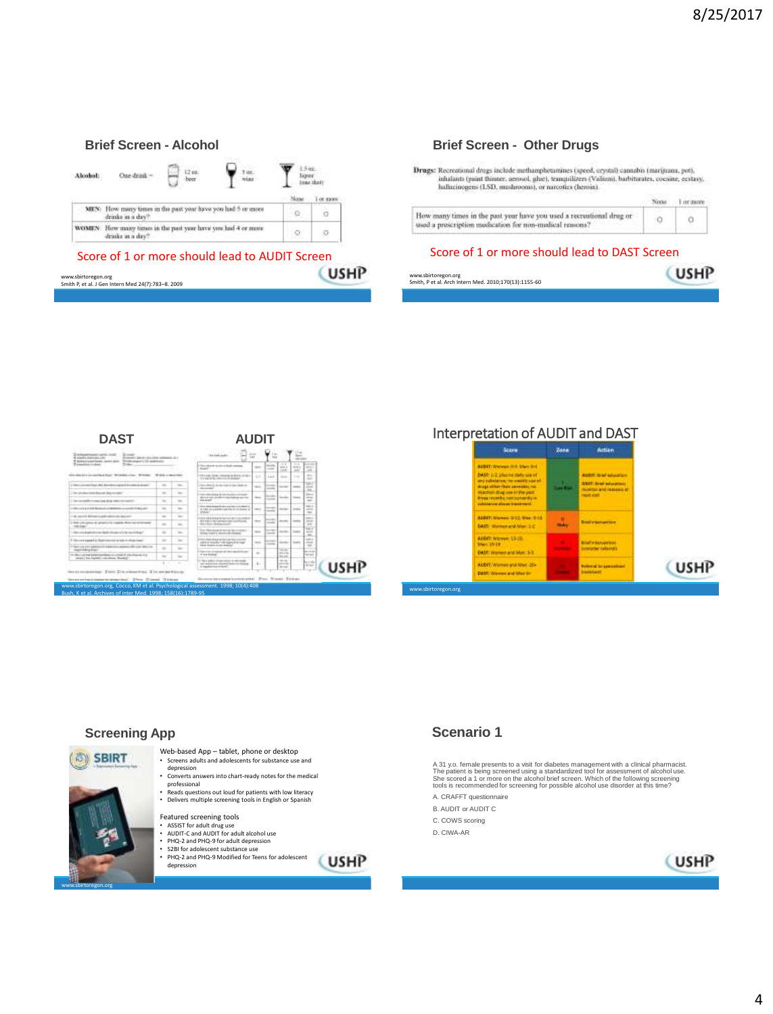#### **Brief Screen - Alcohol** 1.5 oz<br>Japor<br>Jone shart  $\mathbf{P}$  and  $P_{tot}$ Alcohol: One drink ~ T or more MEN: How many times in the past year have you had 5 or more drinks in a day? ö  $\alpha$ WOMEN . How many times in the past year have you had 4 or mass drinks in a day?  $\circ$  $\mathcal{Q}_i$ Score of 1 or more should lead to AUDIT Screen

### **USHP** www.sbirtoregon.org Smith P, et al. J Gen Intern Med 24(7):783–8. 2009

### **Brief Screen - Other Drugs**

Drugs: Recreational drugs include methamphotamines (speed, crystal) cannabis (marijuana, pot), inhalanti (paint fhinter, aerosol, ghie), tempailizers (Vallum), barbitarates, cocaine, ecstasy, hallucinogens (LSD, mudnooma), or narcotics (heroin).



### Score of 1 or more should lead to DAST Screen



**DAST AUDIT** 원부 Ÿ. anticoli, Branchester<br>Albertan Branchester Ë E tion distant **Sunter**  $5 - 40 + 3 = 10 - 14 + 14 + 14 +$ Ë  $-1111$ **Alle Millerene**  $\frac{1}{2}$  $-100 - 100$ E E Ξ the declaration  $\frac{1}{2}$  $\overline{\phantom{a}}$ to reconnict to the anno agince  $\epsilon \rightarrow 1$ ⊨ ü  $7 - 11$  $+10.1$ **CUSHP** |蒜

www.sbirtoregon.org, Cocco, KM et al. Psychological assessment. 1998; 10(4):408

### Interpretation of AUDIT and DAST







www.sbirtoregon.org

Web-based App – tablet, phone or desktop Screens adults and adolescents for substance use and depression

- Converts answers into chart-ready notes for the medical professional
- Reads questions out loud for patients with low literacy • Delivers multiple screening tools in English or Spanish

Featured screening tools

depression

- ASSIST for adult drug use AUDIT-C and AUDIT for adult alcohol use
- 
- PHQ-2 and PHQ-9 for adult depression S2BI for adolescent substance use • PHQ-2 and PHQ-9 Modified for Teens for adolescent
	- (USHP

红红红

ŧ

树脂树

W

## **Scenario 1**

A 31 y.o. female presents to a visit for diabetes management with a clinical pharmacist.<br>The patient is being screened using a standardized tool for assessment of alcohol use.<br>She scored a 1 or more on the alcohol brief sc

- A. CRAFFT questionnaire
- B. AUDIT or AUDIT C
- C. COWS scoring
- D. CIWA-AR

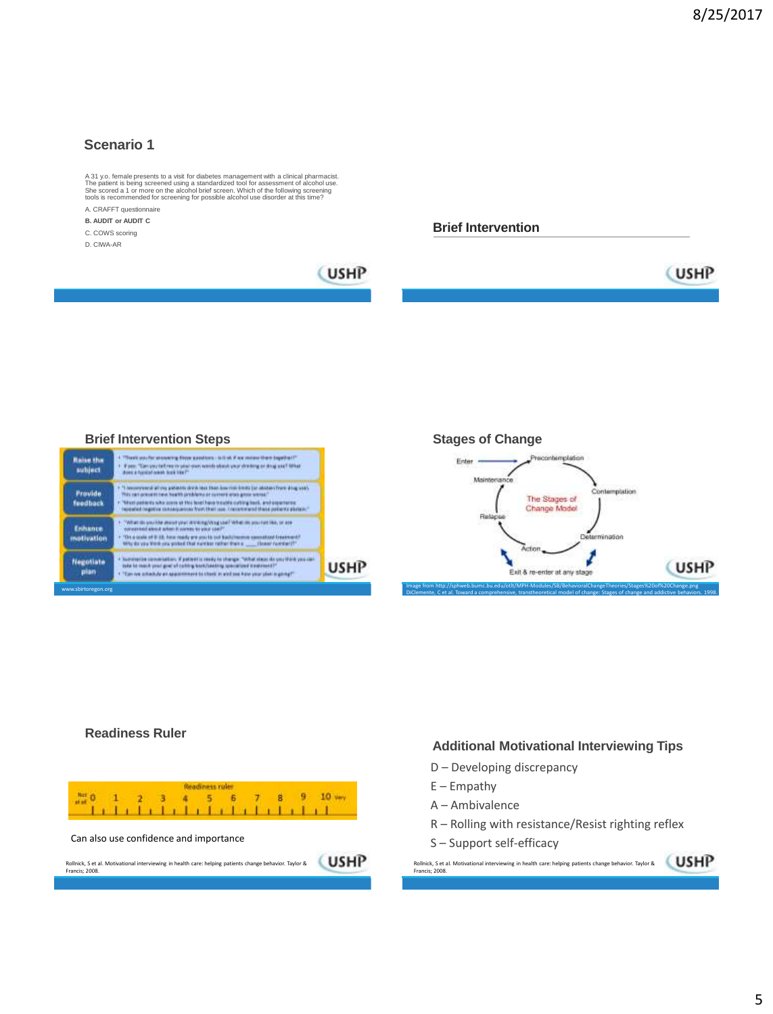### **Scenario 1**

A 31 y.o. female presents to a visit for diabetes management with a clinical pharmacist.<br>The patient is being screened using a standardized tool for assessment of alcohol use.<br>She scored a 1 or more on the alcohol brief sc

A. CRAFFT questionnaire **B. AUDIT or AUDIT C**

C. COWS scoring

D. CIWA-AR



**USHP** 

#### **Brief Intervention Steps**



**Stages of Change**



#### **Readiness Ruler**



### **Additional Motivational Interviewing Tips**

- D Developing discrepancy
- $E$  Empathy
- A Ambivalence
- R Rolling with resistance/Resist righting reflex
- S Support self-efficacy

Rollnick, S et al. Motivational interviewing in health care: helping patients change behavior. Taylor & Francis; 2008.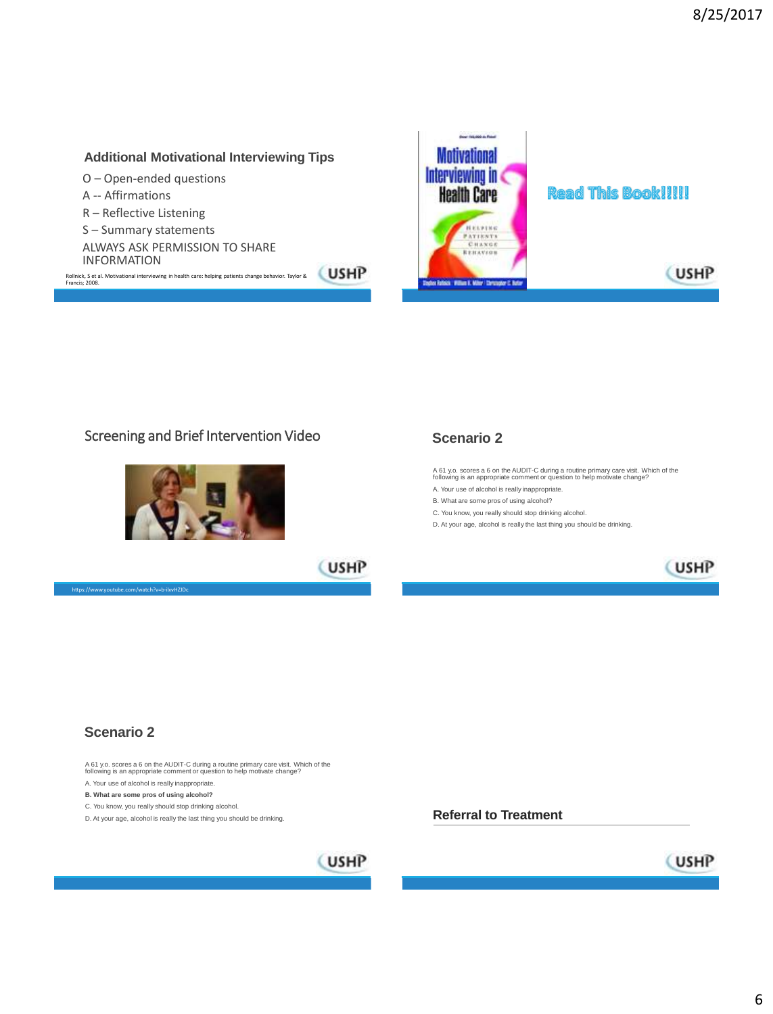### **Additional Motivational Interviewing Tips**

- O Open-ended questions
- A -- Affirmations
- R Reflective Listening
- S Summary statements
- ALWAYS ASK PERMISSION TO SHARE INFORMATION

Rollnick, S et al. Motivational interviewing in health care: helping patients change behavior. Taylor & Francis; 2008.



# **Read This Book!!!!!**

### Screening and Brief Intervention Video



### **Scenario 2**

A 61 y.o. scores a 6 on the AUDIT-C during a routine primary care visit. Which of the following is an appropriate comment or question to help motivate change?

A. Your use of alcohol is really inappropriate.

**Referral to Treatment**

- B. What are some pros of using alcohol?
- C. You know, you really should stop drinking alcohol.
- D. At your age, alcohol is really the last thing you should be drinking.

(USHP

**USHP** 



(USHP

### **Scenario 2**

https://www.youtube.com/watch?v=b-ilxvHZ

A 61 y.o. scores a 6 on the AUDIT-C during a routine primary care visit. Which of the following is an appropriate comment or question to help motivate change?

A. Your use of alcohol is really inappropriate.

**B. What are some pros of using alcohol?**

C. You know, you really should stop drinking alcohol.

D. At your age, alcohol is really the last thing you should be drinking.

# **CUSHP**

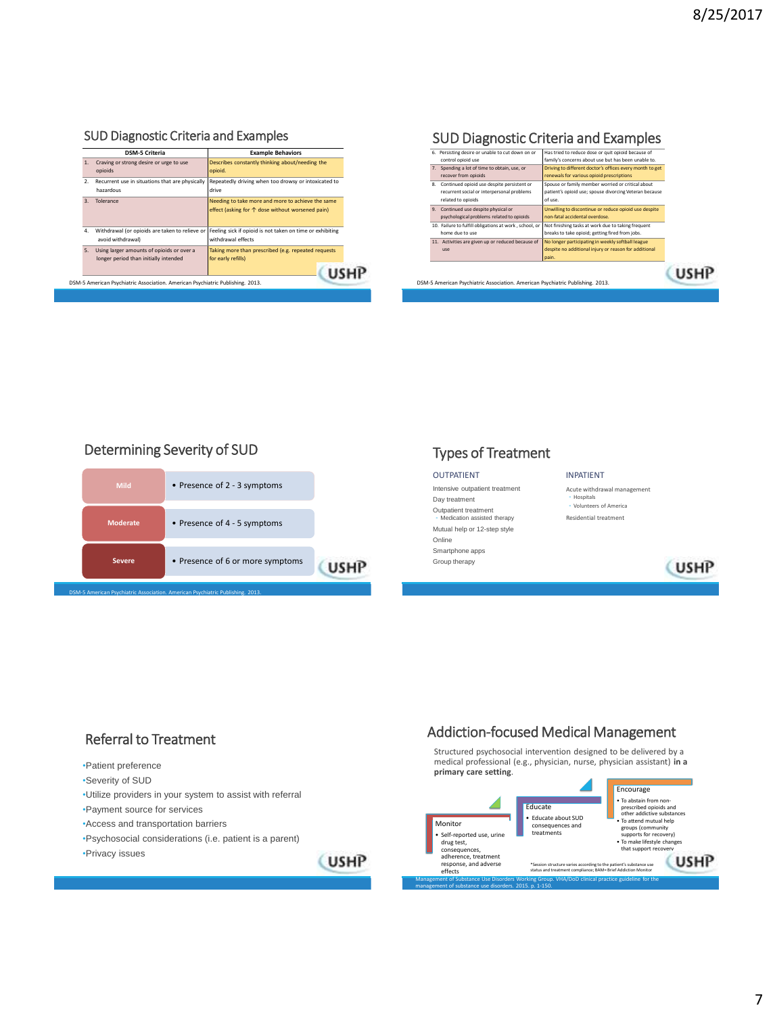# SUD Diagnostic Criteria and Examples

| Craving or strong desire or urge to use                                            | Describes constantly thinking about/needing the                                                       |  |
|------------------------------------------------------------------------------------|-------------------------------------------------------------------------------------------------------|--|
| opioids                                                                            | opioid.                                                                                               |  |
| Recurrent use in situations that are physically<br>hazardous                       | Repeatedly driving when too drowsy or intoxicated to<br>drive                                         |  |
| Tolerance                                                                          | Needing to take more and more to achieve the same<br>effect (asking for ↑ dose without worsened pain) |  |
| Withdrawal (or opioids are taken to relieve or<br>avoid withdrawal)                | Feeling sick if opioid is not taken on time or exhibiting<br>withdrawal effects                       |  |
| Using larger amounts of opioids or over a<br>longer period than initially intended | Taking more than prescribed (e.g. repeated requests<br>for early refills)                             |  |
|                                                                                    |                                                                                                       |  |

# SUD Diagnostic Criteria and Examples



### Determining Severity of SUD



# Types of Treatment

#### OUTPATIENT

Intensive outpatient treatment Day treatment

Outpatient treatment ◦ Medication assisted therapy

Mutual help or 12-step style Online Smartphone apps

Group therapy



Acute withdrawal management ◦ Hospitals ◦ Volunteers of America Residential treatment



| •Patient preference                                        |  |
|------------------------------------------------------------|--|
| •Severity of SUD                                           |  |
| . Utilize providers in your system to assist with referral |  |
| •Payment source for services                               |  |
| •Access and transportation barriers                        |  |
| •Psychosocial considerations (i.e. patient is a parent)    |  |
| •Privacy issues                                            |  |

# Referral to Treatment **Addiction-focused Medical Management**

Structured psychosocial intervention designed to be delivered by a medical professional (e.g., physician, nurse, physician assistant) **in a primary care setting**.

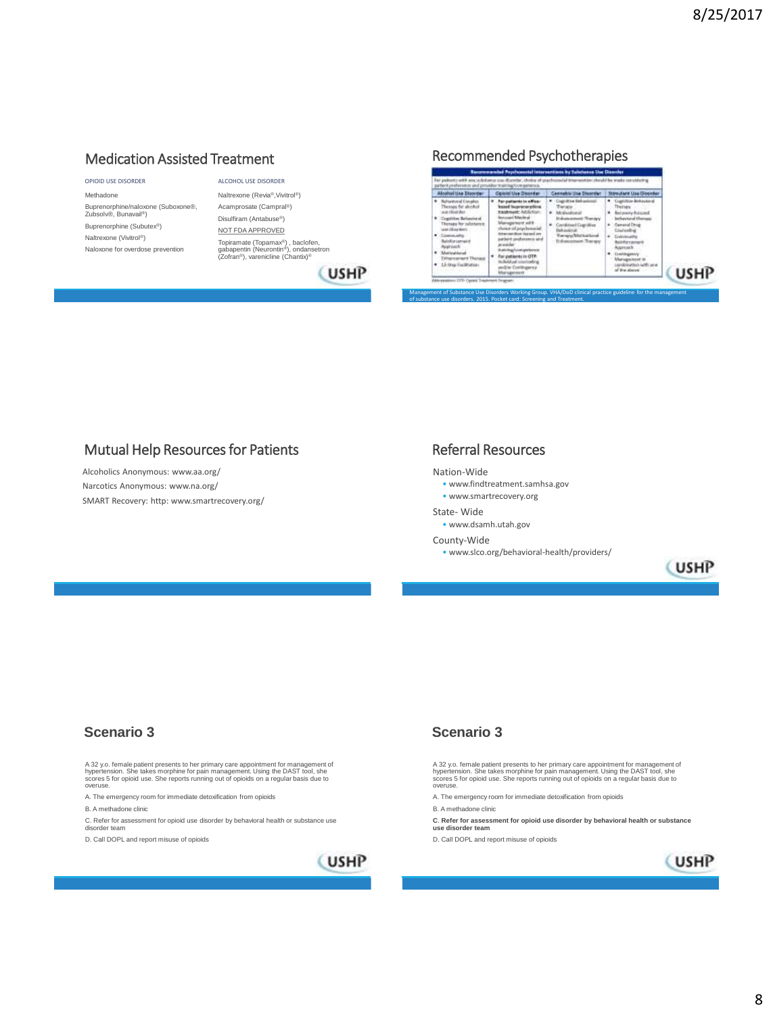### Medication Assisted Treatment

#### OPIOID USE DISORDER

Methadone Buprenorphine/naloxone (Suboxone®, Zubsolv®, Bunavail®) Buprenorphine (Subutex®) Naltrexone (Vivitrol®) Naloxone for overdose prevention

ALCOHOL USE DISORDER Naltrexone (Revia®,Vivitrol®) Acamprosate (Campral®) Disulfiram (Antabuse®) NOT FDA APPROVED Topiramate (Topamax®) , baclofen, gabapentin (Neurontin®), ondansetron (Zofran®), varenicline (Chantix)®

# (USHP

### Recommended Psychotherapies

| <b>Alcohol Use Disorder</b>                                                                                                                                                                                                                                                                    | Opiold Use Director                                                                                                                                                                                                                                                                                         | <b>Cennebia Use Disorder</b>                                                                                                                               | Störwulterit Mau Gippeder                                                                                                                                                                                                                                                   |             |
|------------------------------------------------------------------------------------------------------------------------------------------------------------------------------------------------------------------------------------------------------------------------------------------------|-------------------------------------------------------------------------------------------------------------------------------------------------------------------------------------------------------------------------------------------------------------------------------------------------------------|------------------------------------------------------------------------------------------------------------------------------------------------------------|-----------------------------------------------------------------------------------------------------------------------------------------------------------------------------------------------------------------------------------------------------------------------------|-------------|
| <b>Religiously of Countles</b><br>Renaus for streked<br><b>CREATIVIALS</b><br>Constituted Baltimortal of<br>Thomas for substance:<br>creditories:<br>Community<br><b>Balisfiransanain</b><br>Approach<br><b><i><u>ATALIAN PARA</u></i></b><br><b>NEWSHIP Third and</b><br>13-fore Facilitation | For patients in affair.<br><b>hssed hupreno-phina</b><br>trastment Addiction<br>Incorporate Manufacturers<br>Management with<br>now of one-humanized<br>two you diver increased you<br>lort professoro and<br>Included and approved<br>For patients in OTP:<br><b>Bobbasi</b> counterfied<br>Mar Towithways | <b>Cognitive fiel-asissai</b><br>WOOD<br><b>Andy utilizes</b><br><b>Instituted Countinue</b><br><b>WALKWOOD</b><br>wisit Mathathrad<br>Enforcement Therapy | <b>Copyrighter Broke Avenue</b><br><b>Themes</b><br>Retensive Retained<br><b>Informació Menses</b><br>smanul Dirvie<br><b>Double River</b><br>Coloration<br>informant<br>Approach<br>Constituzioni V<br><b>Management</b> is<br>with 1954 Additional<br>Film always commit- | <b>USHP</b> |

### Mutual Help Resources for Patients **Referral Resources**

Alcoholics Anonymous: www.aa.org/ Narcotics Anonymous: www.na.org/ SMART Recovery: http: www.smartrecovery.org/

of substance use disorders. 2015. Pocket card: Screening and Treatment.

#### Nation-Wide

- www.findtreatment.samhsa.gov
- www.smartrecovery.org
- State- Wide
	- www.dsamh.utah.gov

#### County-Wide

• www.slco.org/behavioral-health/providers/



### **Scenario 3**

A 32 y.o. female patient presents to her primary care appointment for management of<br>hypertension. She takes morphine for pain management. Using the DAST tool, she<br>scores 5 for opioid use. She reports running out of opioids overuse.

A. The emergency room for immediate detoxification from opioids

B. A methadone clinic

C. Refer for assessment for opioid use disorder by behavioral health or substance use disorder team

D. Call DOPL and report misuse of opioids



### **Scenario 3**

A 32 y.o. female patient presents to her primary care appointment for management of<br>hypertension. She takes morphine for pain management. Using the DAST tool, she<br>scores 5 for opioid use. She reports running out of opioids overuse.

- A. The emergency room for immediate detoxification from opioids
- B. A methadone clinic
- **C**. **Refer for assessment for opioid use disorder by behavioral health or substance use disorder team**

D. Call DOPL and report misuse of opioids

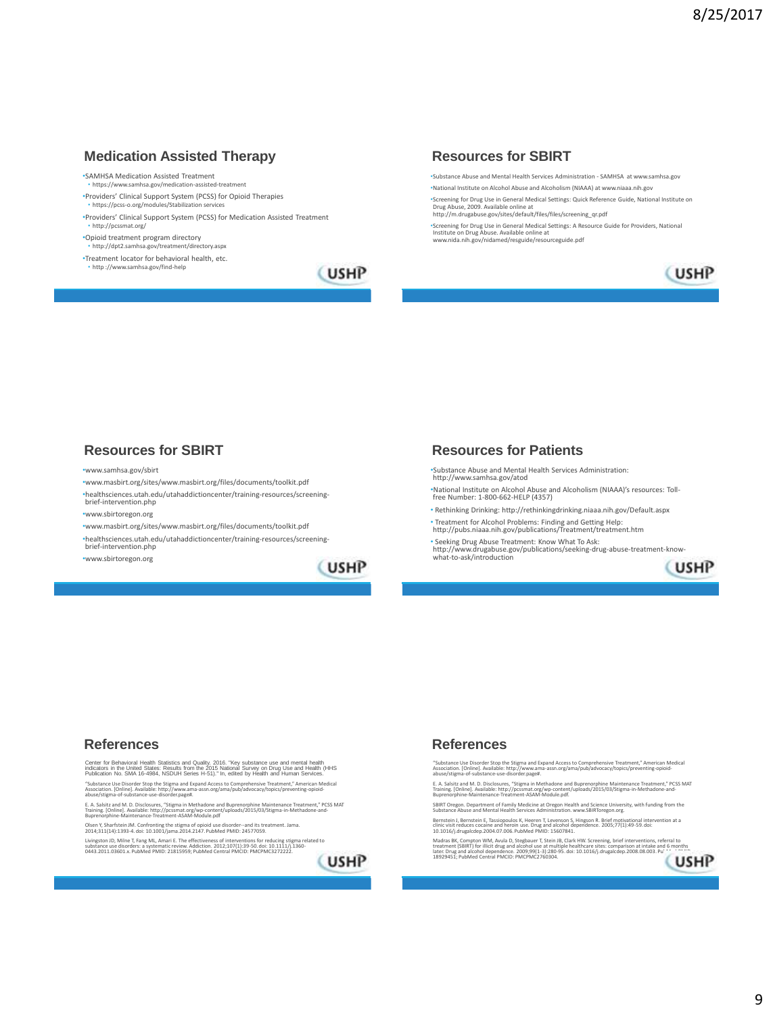### **Medication Assisted Therapy**

•SAMHSA Medication Assisted Treatment

• https://www.samhsa.gov/medication-assisted-treatment •Providers' Clinical Support System (PCSS) for Opioid Therapies • https://pcss-o.org/modules/Stabilization services

•Providers' Clinical Support System (PCSS) for Medication Assisted Treatment • http://pcssmat.org/

•Opioid treatment program directory<br>• http://dpt2.samhsa.gov/treatment/directory.aspx

http://dpt2.samhsa.gov/treatment/directory. •Treatment locator for behavioral health, etc.

• http ://www.samhsa.gov/find-help

# **USHP**

### **Resources for SBIRT**

e Abuse and Mental Health Services Administration - SAMHSA at www.samhsa.gov •National Institute on Alcohol Abuse and Alcoholism (NIAAA) at www.niaaa.nih.gov

\*Screening for Drug Use in General Medical Settings: Quick Reference Guide, National Institute on<br>Drug Abuse, 2009. Available online at<br>http://m.drugabuse.gov/sites/default/files/files/screening\_qr.pdf

•Screening for Drug Use in General Medical Settings: A Resource Guide for Providers, National Institute on Drug Abuse. Available online at www.nida.nih.gov/nidamed/resguide/resourceguide.pdf

**CUSHP** 

### **Resources for SBIRT**

#### •www.samhsa.gov/sbirt

•www.masbirt.org/sites/www.masbirt.org/files/documents/toolkit.pdf

•healthsciences.utah.edu/utahaddictioncenter/training-resources/screeningbrief-intervention.php

•www.sbirtoregon.org

•www.masbirt.org/sites/www.masbirt.org/files/documents/toolkit.pdf

•healthsciences.utah.edu/utahaddictioncenter/training-resources/screening-

brief-intervention.php •www.sbirtoregon.org

**USHP** 

### **Resources for Patients**

•Substance Abuse and Mental Health Services Administration: http://www.samhsa.gov/atod

•National Institute on Alcohol Abuse and Alcoholism (NIAAA)'s resources: Toll-free Number: 1-800-662-HELP (4357)

- Rethinking Drinking: http://rethinkingdrinking.niaaa.nih.gov/Default.aspx
- Treatment for Alcohol Problems: Finding and Getting Help: http://pubs.niaaa.nih.gov/publications/Treatment/treatment.htm • Seeking Drug Abuse Treatment: Know What To Ask:

http://www.drugabuse.gov/publications/seeking-drug-abuse-treatment-know-what-to-ask/introduction



### **References**

Center for Behavioral Health Statistics and Quality. 2016. "Key substance use and mental health<br>indicators in the United States: Results from the 2015 National Survey on Drug Use and Health (HHS<br>Publication No. SMA 16-4984

"Substance Use Disorder Stop the Stigma and Expand Access to Comprehensive Treatment," American Medical<br>Association. [Online]. Available: http://www.ama-assn.org/ama/pub/advocacy/topics/preventing-opioid-<br>abuse/stigma-of-s

E. A. Salsitz and M. D. Disclosures, "Stigma in Methadone and Buprenorphine Maintenance Treatment," PCSS MAT<br>Training. [Online]. Available: http://pcssmat.org/wp-content/uploads/2015/03/Stigma-in-Methadone-and-<br>Buprenorphi

Olsen Y, Sharfstein JM. Confronting the stigma of opioid use disorder--and its treatment. Jama. 2014;311(14):1393-4. doi: 10.1001/jama.2014.2147. PubMed PMID: 24577059.

Livingston JD, Milne T, Fang ML, Amari E. The effectiveness of interventions for reducing stigma related to<br>substance use disorders: a systematic review. Addiction. 2012;107(1):39-50. doi: 10.1111/j.1360-<br>0443.2011.03601.x



### **References**

"Substance Use Disorder Stop the Stigma and Expand Access to Comprehensive Treatment," American Medical<br>Association. [Online]. Available: http://www.ama-assn.org/ama/pub/advocacy/topics/preventing-opioid-<br>abuse/stigma-of-s

E. A. Salsitz and M. D. Disclosures, "Stigma in Methadone and Buprenorphine Maintenance Treatment," PCSS MAT<br>Training. [Online]. Available: http://pcssmat.org/wp-content/uploads/2015/03/Stigma-in-Methadone-and-<br>Buprenorphi

SBIRT Oregon. Department of Family Medicine at Oregon Health and Science University, with funding from the Substance Abuse and Mental Health Services Administration. www.SBIRToregon.org.

Bernstein J, Bernstein E, Tassiopoulos K, Heeren T, Levenson S, Hingson R. Brief motivational intervention at a<br>clinic visit reduces cocaine and heroin use. Drug and alcohol dependence. 2005;77(1):49-59. doi:<br>10.1016/j.dru

Madras BK, Compton WM, Avula D, Stegbauer T, Stein JB, Clark HW. Screening, brief interventions, referral to<br>treatment (SBIRT) for illicit drug and alcohol use at multiple healthcare sites: comparison at intake and 6 month